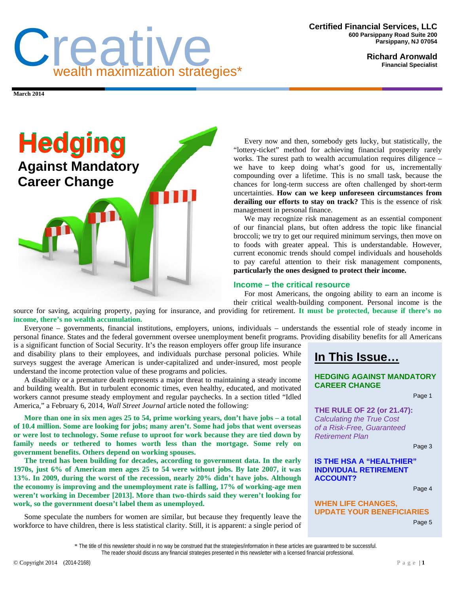

**Richard Aronwald Financial Specialist** 

**March 2014** 



Every now and then, somebody gets lucky, but statistically, the "lottery-ticket" method for achieving financial prosperity rarely works. The surest path to wealth accumulation requires diligence – we have to keep doing what's good for us, incrementally compounding over a lifetime. This is no small task, because the chances for long-term success are often challenged by short-term uncertainties. **How can we keep unforeseen circumstances from derailing our efforts to stay on track?** This is the essence of risk management in personal finance.

We may recognize risk management as an essential component of our financial plans, but often address the topic like financial broccoli; we try to get our required minimum servings, then move on to foods with greater appeal. This is understandable. However, current economic trends should compel individuals and households to pay careful attention to their risk management components, **particularly the ones designed to protect their income.** 

## **Income – the critical resource**

For most Americans, the ongoing ability to earn an income is

their critical wealth-building component. Personal income is the source for saving, acquiring property, paying for insurance, and providing for retirement. **It must be protected, because if there's no income, there's no wealth accumulation.** 

Everyone – governments, financial institutions, employers, unions, individuals – understands the essential role of steady income in personal finance. States and the federal government oversee unemployment benefit programs. Providing disability benefits for all Americans

is a significant function of Social Security. It's the reason employers offer group life insurance and disability plans to their employees, and individuals purchase personal policies. While surveys suggest the average American is under-capitalized and under-insured, most people understand the income protection value of these programs and policies.

A disability or a premature death represents a major threat to maintaining a steady income and building wealth. But in turbulent economic times, even healthy, educated, and motivated workers cannot presume steady employment and regular paychecks. In a section titled "Idled America," a February 6, 2014, *Wall Street Journal* article noted the following:

**More than one in six men ages 25 to 54, prime working years, don't have jobs – a total of 10.4 million. Some are looking for jobs; many aren't. Some had jobs that went overseas or were lost to technology. Some refuse to uproot for work because they are tied down by family needs or tethered to homes worth less than the mortgage. Some rely on government benefits. Others depend on working spouses.** 

**The trend has been building for decades, according to government data. In the early 1970s, just 6% of American men ages 25 to 54 were without jobs. By late 2007, it was 13%. In 2009, during the worst of the recession, nearly 20% didn't have jobs. Although the economy is improving and the unemployment rate is falling, 17% of working-age men weren't working in December [2013]. More than two-thirds said they weren't looking for work, so the government doesn't label them as unemployed.** 

Some speculate the numbers for women are similar, but because they frequently leave the workforce to have children, there is less statistical clarity. Still, it is apparent: a single period of **In This Issue…**

### **HEDGING AGAINST MANDATORY CAREER CHANGE**

Page 1

**THE RULE OF 22 (or 21.47):**  *Calculating the True Cost of a Risk-Free, Guaranteed Retirement Plan* 

Page 3

### **IS THE HSA A "HEALTHIER" INDIVIDUAL RETIREMENT ACCOUNT?**

Page 4

### **WHEN LIFE CHANGES, UPDATE YOUR BENEFICIARIES** Page 5

\* The title of this newsletter should in no way be construed that the strategies/information in these articles are guaranteed to be successful. The reader should discuss any financial strategies presented in this newsletter with a licensed financial professional.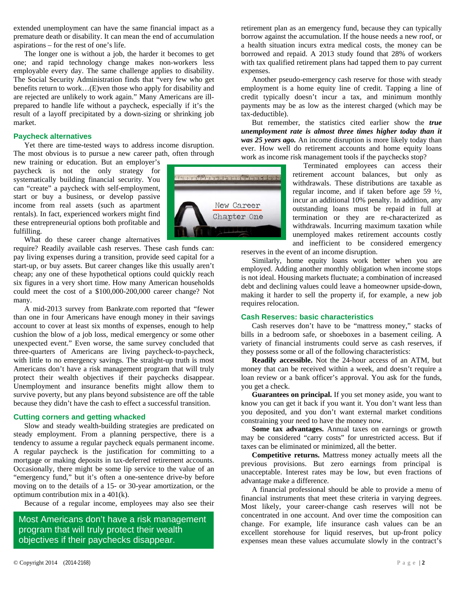extended unemployment can have the same financial impact as a premature death or disability. It can mean the end of accumulation aspirations – for the rest of one's life.

The longer one is without a job, the harder it becomes to get one; and rapid technology change makes non-workers less employable every day. The same challenge applies to disability. The Social Security Administration finds that "very few who get benefits return to work…(E)ven those who apply for disability and are rejected are unlikely to work again." Many Americans are illprepared to handle life without a paycheck, especially if it's the result of a layoff precipitated by a down-sizing or shrinking job market.

### **Paycheck alternatives**

Yet there are time-tested ways to address income disruption. The most obvious is to pursue a new career path, often through

new training or education. But an employer's paycheck is not the only strategy for systematically building financial security. You can "create" a paycheck with self-employment, start or buy a business, or develop passive income from real assets (such as apartment rentals). In fact, experienced workers might find these entrepreneurial options both profitable and fulfilling.

What do these career change alternatives

require? Readily available cash reserves. These cash funds can: pay living expenses during a transition, provide seed capital for a start-up, or buy assets. But career changes like this usually aren't cheap; any one of these hypothetical options could quickly reach six figures in a very short time. How many American households could meet the cost of a \$100,000-200,000 career change? Not many.

A mid-2013 survey from Bankrate.com reported that "fewer than one in four Americans have enough money in their savings account to cover at least six months of expenses, enough to help cushion the blow of a job loss, medical emergency or some other unexpected event." Even worse, the same survey concluded that three-quarters of Americans are living paycheck-to-paycheck, with little to no emergency savings. The straight-up truth is most Americans don't have a risk management program that will truly protect their wealth objectives if their paychecks disappear. Unemployment and insurance benefits might allow them to survive poverty, but any plans beyond subsistence are off the table because they didn't have the cash to effect a successful transition.

### **Cutting corners and getting whacked**

Slow and steady wealth-building strategies are predicated on steady employment. From a planning perspective, there is a tendency to assume a regular paycheck equals permanent income. A regular paycheck is the justification for committing to a mortgage or making deposits in tax-deferred retirement accounts. Occasionally, there might be some lip service to the value of an "emergency fund," but it's often a one-sentence drive-by before moving on to the details of a 15- or 30-year amortization, or the optimum contribution mix in a 401(k).

Because of a regular income, employees may also see their

Most Americans don't have a risk management program that will truly protect their wealth objectives if their paychecks disappear.



retirement plan as an emergency fund, because they can typically borrow against the accumulation. If the house needs a new roof, or a health situation incurs extra medical costs, the money can be borrowed and repaid. A 2013 study found that 28% of workers with tax qualified retirement plans had tapped them to pay current expenses.

Another pseudo-emergency cash reserve for those with steady employment is a home equity line of credit. Tapping a line of credit typically doesn't incur a tax, and minimum monthly payments may be as low as the interest charged (which may be tax-deductible).

But remember, the statistics cited earlier show the *true unemployment rate is almost three times higher today than it was 25 years ago.* An income disruption is more likely today than ever. How well do retirement accounts and home equity loans work as income risk management tools if the paychecks stop?

> Terminated employees can access their retirement account balances, but only as withdrawals. These distributions are taxable as regular income, and if taken before age 59 ½, incur an additional 10% penalty. In addition, any outstanding loans must be repaid in full at termination or they are re-characterized as withdrawals. Incurring maximum taxation while unemployed makes retirement accounts costly and inefficient to be considered emergency

reserves in the event of an income disruption.

Similarly, home equity loans work better when you are employed. Adding another monthly obligation when income stops is not ideal. Housing markets fluctuate; a combination of increased debt and declining values could leave a homeowner upside-down, making it harder to sell the property if, for example, a new job requires relocation.

### **Cash Reserves: basic characteristics**

Cash reserves don't have to be "mattress money," stacks of bills in a bedroom safe, or shoeboxes in a basement ceiling. A variety of financial instruments could serve as cash reserves, if they possess some or all of the following characteristics:

**Readily accessible.** Not the 24-hour access of an ATM, but money that can be received within a week, and doesn't require a loan review or a bank officer's approval. You ask for the funds, you get a check.

**Guarantees on principal.** If you set money aside, you want to know you can get it back if you want it. You don't want less than you deposited, and you don't want external market conditions constraining your need to have the money now.

**Some tax advantages.** Annual taxes on earnings or growth may be considered "carry costs" for unrestricted access. But if taxes can be eliminated or minimized, all the better.

**Competitive returns.** Mattress money actually meets all the previous provisions. But zero earnings from principal is unacceptable. Interest rates may be low, but even fractions of advantage make a difference.

A financial professional should be able to provide a menu of financial instruments that meet these criteria in varying degrees. Most likely, your career-change cash reserves will not be concentrated in one account. And over time the composition can change. For example, life insurance cash values can be an excellent storehouse for liquid reserves, but up-front policy expenses mean these values accumulate slowly in the contract's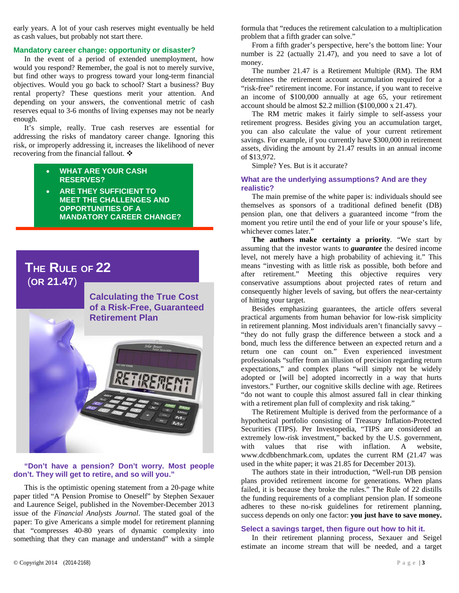early years. A lot of your cash reserves might eventually be held as cash values, but probably not start there.

### **Mandatory career change: opportunity or disaster?**

In the event of a period of extended unemployment, how would you respond? Remember, the goal is not to merely survive, but find other ways to progress toward your long-term financial objectives. Would you go back to school? Start a business? Buy rental property? These questions merit your attention. And depending on your answers, the conventional metric of cash reserves equal to 3-6 months of living expenses may not be nearly enough.

It's simple, really. True cash reserves are essential for addressing the risks of mandatory career change. Ignoring this risk, or improperly addressing it, increases the likelihood of never recovering from the financial fallout. ❖

- **WHAT ARE YOUR CASH RESERVES?**
- **ARE THEY SUFFICIENT TO MEET THE CHALLENGES AND OPPORTUNITIES OF A MANDATORY CAREER CHANGE?**

# **THE RULE OF 22**  (**OR 21.47**)



**"Don't have a pension? Don't worry. Most people don't. They will get to retire, and so will you."** 

This is the optimistic opening statement from a 20-page white paper titled "A Pension Promise to Oneself" by Stephen Sexauer and Laurence Seigel, published in the November-December 2013 issue of the *Financial Analysts Journal*. The stated goal of the paper: To give Americans a simple model for retirement planning that "compresses 40-80 years of dynamic complexity into something that they can manage and understand" with a simple formula that "reduces the retirement calculation to a multiplication problem that a fifth grader can solve."

From a fifth grader's perspective, here's the bottom line: Your number is 22 (actually 21.47), and you need to save a lot of money.

The number 21.47 is a Retirement Multiple (RM). The RM determines the retirement account accumulation required for a "risk-free" retirement income. For instance, if you want to receive an income of \$100,000 annually at age 65, your retirement account should be almost \$2.2 million (\$100,000 x 21.47).

The RM metric makes it fairly simple to self-assess your retirement progress. Besides giving you an accumulation target, you can also calculate the value of your current retirement savings. For example, if you currently have \$300,000 in retirement assets, dividing the amount by 21.47 results in an annual income of \$13,972.

Simple? Yes. But is it accurate?

### **What are the underlying assumptions? And are they realistic?**

The main premise of the white paper is: individuals should see themselves as sponsors of a traditional defined benefit (DB) pension plan, one that delivers a guaranteed income "from the moment you retire until the end of your life or your spouse's life, whichever comes later."

**The authors make certainty a priority**. "We start by assuming that the investor wants to *guarantee* the desired income level, not merely have a high probability of achieving it." This means "investing with as little risk as possible, both before and after retirement." Meeting this objective requires very conservative assumptions about projected rates of return and consequently higher levels of saving, but offers the near-certainty of hitting your target.

Besides emphasizing guarantees, the article offers several practical arguments from human behavior for low-risk simplicity in retirement planning. Most individuals aren't financially savvy – "they do not fully grasp the difference between a stock and a bond, much less the difference between an expected return and a return one can count on." Even experienced investment professionals "suffer from an illusion of precision regarding return expectations," and complex plans "will simply not be widely adopted or [will be] adopted incorrectly in a way that hurts investors." Further, our cognitive skills decline with age. Retirees "do not want to couple this almost assured fall in clear thinking with a retirement plan full of complexity and risk taking."

The Retirement Multiple is derived from the performance of a hypothetical portfolio consisting of Treasury Inflation-Protected Securities (TIPS). Per Investopedia, "TIPS are considered an extremely low-risk investment," backed by the U.S. government, with values that rise with inflation. A website, www.dcdbbenchmark.com, updates the current RM (21.47 was used in the white paper; it was 21.85 for December 2013).

The authors state in their introduction, "Well-run DB pension plans provided retirement income for generations. When plans failed, it is because they broke the rules." The Rule of 22 distills the funding requirements of a compliant pension plan. If someone adheres to these no-risk guidelines for retirement planning, success depends on only one factor: **you just have to save money.** 

### **Select a savings target, then figure out how to hit it.**

In their retirement planning process, Sexauer and Seigel estimate an income stream that will be needed, and a target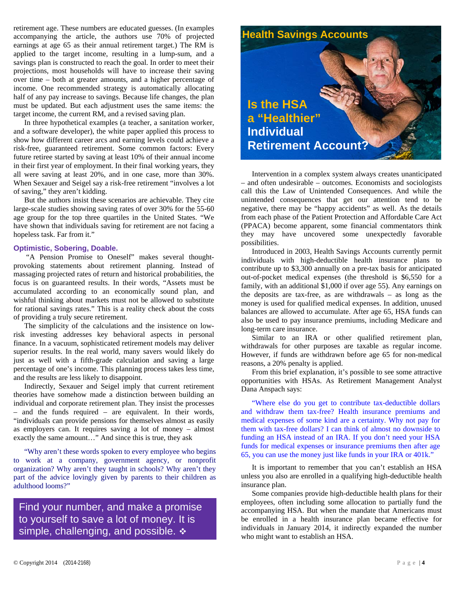retirement age. These numbers are educated guesses. (In examples accompanying the article, the authors use 70% of projected earnings at age 65 as their annual retirement target.) The RM is applied to the target income, resulting in a lump-sum, and a savings plan is constructed to reach the goal. In order to meet their projections, most households will have to increase their saving over time – both at greater amounts, and a higher percentage of income. One recommended strategy is automatically allocating half of any pay increase to savings. Because life changes, the plan must be updated. But each adjustment uses the same items: the target income, the current RM, and a revised saving plan.

In three hypothetical examples (a teacher, a sanitation worker, and a software developer), the white paper applied this process to show how different career arcs and earning levels could achieve a risk-free, guaranteed retirement. Some common factors: Every future retiree started by saving at least 10% of their annual income in their first year of employment. In their final working years, they all were saving at least 20%, and in one case, more than 30%. When Sexauer and Seigel say a risk-free retirement "involves a lot of saving," they aren't kidding.

But the authors insist these scenarios are achievable. They cite large-scale studies showing saving rates of over 30% for the 55-60 age group for the top three quartiles in the United States. "We have shown that individuals saving for retirement are not facing a hopeless task. Far from it."

### **Optimistic, Sobering, Doable.**

 "A Pension Promise to Oneself" makes several thoughtprovoking statements about retirement planning. Instead of massaging projected rates of return and historical probabilities, the focus is on guaranteed results. In their words, "Assets must be accumulated according to an economically sound plan, and wishful thinking about markets must not be allowed to substitute for rational savings rates." This is a reality check about the costs of providing a truly secure retirement.

The simplicity of the calculations and the insistence on lowrisk investing addresses key behavioral aspects in personal finance. In a vacuum, sophisticated retirement models may deliver superior results. In the real world, many savers would likely do just as well with a fifth-grade calculation and saving a large percentage of one's income. This planning process takes less time, and the results are less likely to disappoint.

Indirectly, Sexauer and Seigel imply that current retirement theories have somehow made a distinction between building an individual and corporate retirement plan. They insist the processes – and the funds required – are equivalent. In their words, "individuals can provide pensions for themselves almost as easily as employers can. It requires saving a lot of money – almost exactly the same amount…" And since this is true, they ask

"Why aren't these words spoken to every employee who begins to work at a company, government agency, or nonprofit organization? Why aren't they taught in schools? Why aren't they part of the advice lovingly given by parents to their children as adulthood looms?"

Find your number, and make a promise to yourself to save a lot of money. It is simple, challenging, and possible.  $\triangleleft$ 



Intervention in a complex system always creates unanticipated – and often undesirable – outcomes. Economists and sociologists call this the Law of Unintended Consequences. And while the unintended consequences that get our attention tend to be negative, there may be "happy accidents" as well. As the details from each phase of the Patient Protection and Affordable Care Act (PPACA) become apparent, some financial commentators think they may have uncovered some unexpectedly favorable possibilities.

Introduced in 2003, Health Savings Accounts currently permit individuals with high-deductible health insurance plans to contribute up to \$3,300 annually on a pre-tax basis for anticipated out-of-pocket medical expenses (the threshold is \$6,550 for a family, with an additional \$1,000 if over age 55). Any earnings on the deposits are tax-free, as are withdrawals – as long as the money is used for qualified medical expenses. In addition, unused balances are allowed to accumulate. After age 65, HSA funds can also be used to pay insurance premiums, including Medicare and long-term care insurance.

Similar to an IRA or other qualified retirement plan, withdrawals for other purposes are taxable as regular income. However, if funds are withdrawn before age 65 for non-medical reasons, a 20% penalty is applied.

From this brief explanation, it's possible to see some attractive opportunities with HSAs. As Retirement Management Analyst Dana Anspach says:

"Where else do you get to contribute tax-deductible dollars and withdraw them tax-free? Health insurance premiums and medical expenses of some kind are a certainty. Why not pay for them with tax-free dollars? I can think of almost no downside to funding an HSA instead of an IRA. If you don't need your HSA funds for medical expenses or insurance premiums then after age 65, you can use the money just like funds in your IRA or 401k."

It is important to remember that you can't establish an HSA unless you also are enrolled in a qualifying high-deductible health insurance plan.

Some companies provide high-deductible health plans for their employees, often including some allocation to partially fund the accompanying HSA. But when the mandate that Americans must be enrolled in a health insurance plan became effective for individuals in January 2014, it indirectly expanded the number who might want to establish an HSA.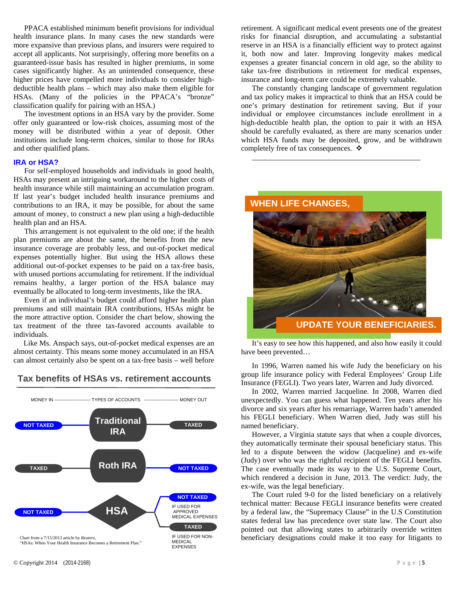PPACA established minimum benefit provisions for individual health insurance plans. In many cases the new standards were more expansive than previous plans, and insurers were required to accept all applicants. Not surprisingly, offering more benefits on a guaranteed-issue basis has resulted in higher premiums, in some cases significantly higher. As an unintended consequence, these higher prices have compelled more individuals to consider highdeductible health plans – which may also make them eligible for HSAs. (Many of the policies in the PPACA's "bronze" classification qualify for pairing with an HSA.)

The investment options in an HSA vary by the provider. Some offer only guaranteed or low-risk choices, assuming most of the money will be distributed within a year of deposit. Other institutions include long-term choices, similar to those for IRAs and other qualified plans.

### **IRA or HSA?**

For self-employed households and individuals in good health, HSAs may present an intriguing workaround to the higher costs of health insurance while still maintaining an accumulation program. If last year's budget included health insurance premiums and contributions to an IRA, it may be possible, for about the same amount of money, to construct a new plan using a high-deductible health plan and an HSA.

This arrangement is not equivalent to the old one; if the health plan premiums are about the same, the benefits from the new insurance coverage are probably less, and out-of-pocket medical expenses potentially higher. But using the HSA allows these additional out-of-pocket expenses to be paid on a tax-free basis, with unused portions accumulating for retirement. If the individual remains healthy, a larger portion of the HSA balance may eventually be allocated to long-term investments, like the IRA.

Even if an individual's budget could afford higher health plan premiums and still maintain IRA contributions, HSAs might be the more attractive option. Consider the chart below, showing the tax treatment of the three tax-favored accounts available to individuals.

Like Ms. Anspach says, out-of-pocket medical expenses are an almost certainty. This means some money accumulated in an HSA can almost certainly also be spent on a tax-free basis – well before

# **Tax benefits of HSAs vs. retirement accounts**



© Copyright 2014 (2014-2168) Page | **5**

retirement. A significant medical event presents one of the greatest risks for financial disruption, and accumulating a substantial reserve in an HSA is a financially efficient way to protect against it, both now and later. Improving longevity makes medical expenses a greater financial concern in old age, so the ability to take tax-free distributions in retirement for medical expenses, insurance and long-term care could be extremely valuable.

The constantly changing landscape of government regulation and tax policy makes it impractical to think that an HSA could be one's primary destination for retirement saving. But if your individual or employee circumstances include enrollment in a high-deductible health plan, the option to pair it with an HSA should be carefully evaluated, as there are many scenarios under which HSA funds may be deposited, grow, and be withdrawn completely free of tax consequences. ❖

\_\_\_\_\_\_\_\_\_\_\_\_\_\_\_\_\_\_\_\_\_\_\_\_\_\_\_\_\_\_\_\_\_\_\_\_\_\_\_\_\_\_\_\_\_

# **WHEN LIFE CHANGES**

**UPDATE YOUR BENEFICIARIES.** 

It's easy to see how this happened, and also how easily it could have been prevented…

In 1996, Warren named his wife Judy the beneficiary on his group life insurance policy with Federal Employees' Group Life Insurance (FEGLI). Two years later, Warren and Judy divorced.

In 2002, Warren married Jacqueline. In 2008, Warren died unexpectedly. You can guess what happened. Ten years after his divorce and six years after his remarriage, Warren hadn't amended his FEGLI beneficiary. When Warren died, Judy was still his named beneficiary.

However, a Virginia statute says that when a couple divorces, they automatically terminate their spousal beneficiary status. This led to a dispute between the widow (Jacqueline) and ex-wife (Judy) over who was the rightful recipient of the FEGLI benefits. The case eventually made its way to the U.S. Supreme Court, which rendered a decision in June, 2013. The verdict: Judy, the ex-wife, was the legal beneficiary.

The Court ruled 9-0 for the listed beneficiary on a relatively technical matter: Because FEGLI insurance benefits were created by a federal law, the "Supremacy Clause" in the U.S Constitution states federal law has precedence over state law. The Court also pointed out that allowing states to arbitrarily override written beneficiary designations could make it too easy for litigants to